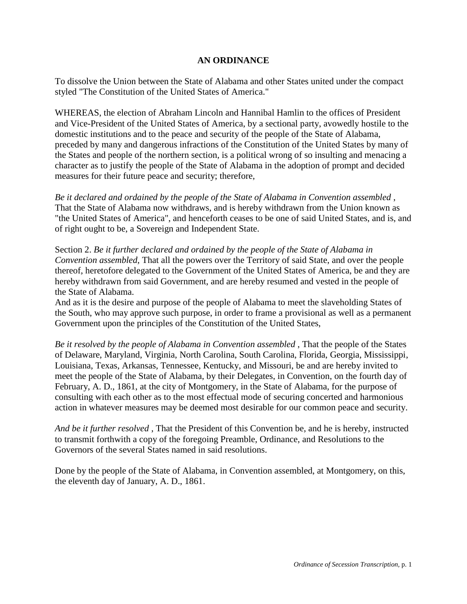## **AN ORDINANCE**

To dissolve the Union between the State of Alabama and other States united under the compact styled "The Constitution of the United States of America."

WHEREAS, the election of Abraham Lincoln and Hannibal Hamlin to the offices of President and Vice-President of the United States of America, by a sectional party, avowedly hostile to the domestic institutions and to the peace and security of the people of the State of Alabama, preceded by many and dangerous infractions of the Constitution of the United States by many of the States and people of the northern section, is a political wrong of so insulting and menacing a character as to justify the people of the State of Alabama in the adoption of prompt and decided measures for their future peace and security; therefore,

*Be it declared and ordained by the people of the State of Alabama in Convention assembled* , That the State of Alabama now withdraws, and is hereby withdrawn from the Union known as "the United States of America", and henceforth ceases to be one of said United States, and is, and of right ought to be, a Sovereign and Independent State.

Section 2. *Be it further declared and ordained by the people of the State of Alabama in Convention assembled*, That all the powers over the Territory of said State, and over the people thereof, heretofore delegated to the Government of the United States of America, be and they are hereby withdrawn from said Government, and are hereby resumed and vested in the people of the State of Alabama.

And as it is the desire and purpose of the people of Alabama to meet the slaveholding States of the South, who may approve such purpose, in order to frame a provisional as well as a permanent Government upon the principles of the Constitution of the United States,

*Be it resolved by the people of Alabama in Convention assembled* , That the people of the States of Delaware, Maryland, Virginia, North Carolina, South Carolina, Florida, Georgia, Mississippi, Louisiana, Texas, Arkansas, Tennessee, Kentucky, and Missouri, be and are hereby invited to meet the people of the State of Alabama, by their Delegates, in Convention, on the fourth day of February, A. D., 1861, at the city of Montgomery, in the State of Alabama, for the purpose of consulting with each other as to the most effectual mode of securing concerted and harmonious action in whatever measures may be deemed most desirable for our common peace and security.

*And be it further resolved* , That the President of this Convention be, and he is hereby, instructed to transmit forthwith a copy of the foregoing Preamble, Ordinance, and Resolutions to the Governors of the several States named in said resolutions.

Done by the people of the State of Alabama, in Convention assembled, at Montgomery, on this, the eleventh day of January, A. D., 1861.